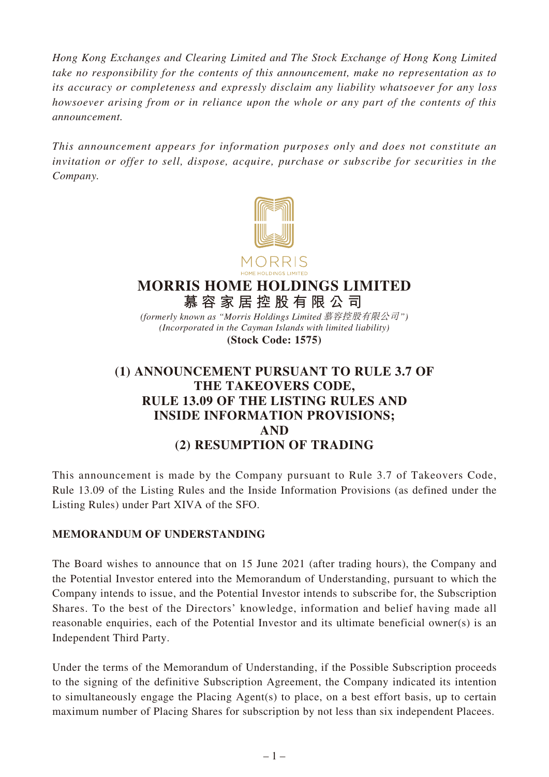*Hong Kong Exchanges and Clearing Limited and The Stock Exchange of Hong Kong Limited take no responsibility for the contents of this announcement, make no representation as to its accuracy or completeness and expressly disclaim any liability whatsoever for any loss howsoever arising from or in reliance upon the whole or any part of the contents of this announcement.*

*This announcement appears for information purposes only and does not constitute an invitation or offer to sell, dispose, acquire, purchase or subscribe for securities in the Company.*



# **MORRIS HOME HOLDINGS LIMITED**

**慕容家居控股有限公司** *(formerly known as "Morris Holdings Limited* 慕容控股有限公司*")*

*(Incorporated in the Cayman Islands with limited liability)* **(Stock Code: 1575)**

# **(1) ANNOUNCEMENT PURSUANT TO RULE 3.7 OF THE TAKEOVERS CODE, RULE 13.09 OF THE LISTING RULES AND INSIDE INFORMATION PROVISIONS; AND (2) RESUMPTION OF TRADING**

This announcement is made by the Company pursuant to Rule 3.7 of Takeovers Code, Rule 13.09 of the Listing Rules and the Inside Information Provisions (as defined under the Listing Rules) under Part XIVA of the SFO.

# **MEMORANDUM OF UNDERSTANDING**

The Board wishes to announce that on 15 June 2021 (after trading hours), the Company and the Potential Investor entered into the Memorandum of Understanding, pursuant to which the Company intends to issue, and the Potential Investor intends to subscribe for, the Subscription Shares. To the best of the Directors' knowledge, information and belief having made all reasonable enquiries, each of the Potential Investor and its ultimate beneficial owner(s) is an Independent Third Party.

Under the terms of the Memorandum of Understanding, if the Possible Subscription proceeds to the signing of the definitive Subscription Agreement, the Company indicated its intention to simultaneously engage the Placing Agent(s) to place, on a best effort basis, up to certain maximum number of Placing Shares for subscription by not less than six independent Placees.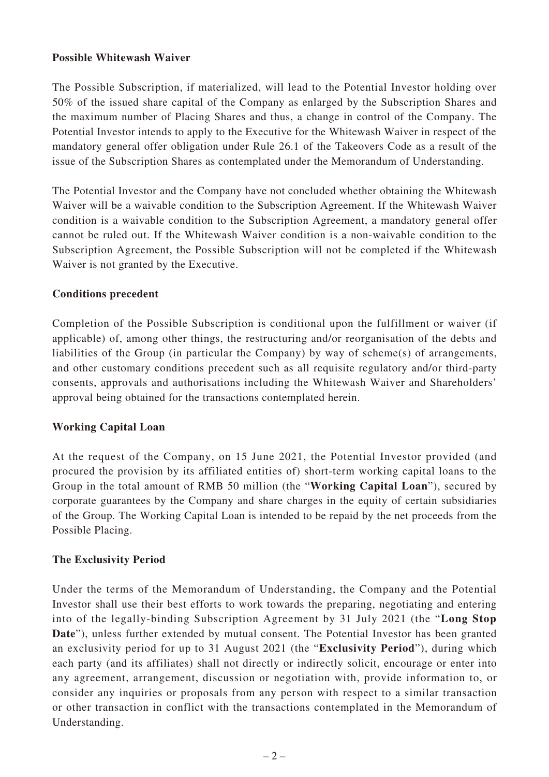#### **Possible Whitewash Waiver**

The Possible Subscription, if materialized, will lead to the Potential Investor holding over 50% of the issued share capital of the Company as enlarged by the Subscription Shares and the maximum number of Placing Shares and thus, a change in control of the Company. The Potential Investor intends to apply to the Executive for the Whitewash Waiver in respect of the mandatory general offer obligation under Rule 26.1 of the Takeovers Code as a result of the issue of the Subscription Shares as contemplated under the Memorandum of Understanding.

The Potential Investor and the Company have not concluded whether obtaining the Whitewash Waiver will be a waivable condition to the Subscription Agreement. If the Whitewash Waiver condition is a waivable condition to the Subscription Agreement, a mandatory general offer cannot be ruled out. If the Whitewash Waiver condition is a non-waivable condition to the Subscription Agreement, the Possible Subscription will not be completed if the Whitewash Waiver is not granted by the Executive.

#### **Conditions precedent**

Completion of the Possible Subscription is conditional upon the fulfillment or waiver (if applicable) of, among other things, the restructuring and/or reorganisation of the debts and liabilities of the Group (in particular the Company) by way of scheme(s) of arrangements, and other customary conditions precedent such as all requisite regulatory and/or third-party consents, approvals and authorisations including the Whitewash Waiver and Shareholders' approval being obtained for the transactions contemplated herein.

### **Working Capital Loan**

At the request of the Company, on 15 June 2021, the Potential Investor provided (and procured the provision by its affiliated entities of) short-term working capital loans to the Group in the total amount of RMB 50 million (the "**Working Capital Loan**"), secured by corporate guarantees by the Company and share charges in the equity of certain subsidiaries of the Group. The Working Capital Loan is intended to be repaid by the net proceeds from the Possible Placing.

### **The Exclusivity Period**

Under the terms of the Memorandum of Understanding, the Company and the Potential Investor shall use their best efforts to work towards the preparing, negotiating and entering into of the legally-binding Subscription Agreement by 31 July 2021 (the "**Long Stop Date**"), unless further extended by mutual consent. The Potential Investor has been granted an exclusivity period for up to 31 August 2021 (the "**Exclusivity Period**"), during which each party (and its affiliates) shall not directly or indirectly solicit, encourage or enter into any agreement, arrangement, discussion or negotiation with, provide information to, or consider any inquiries or proposals from any person with respect to a similar transaction or other transaction in conflict with the transactions contemplated in the Memorandum of Understanding.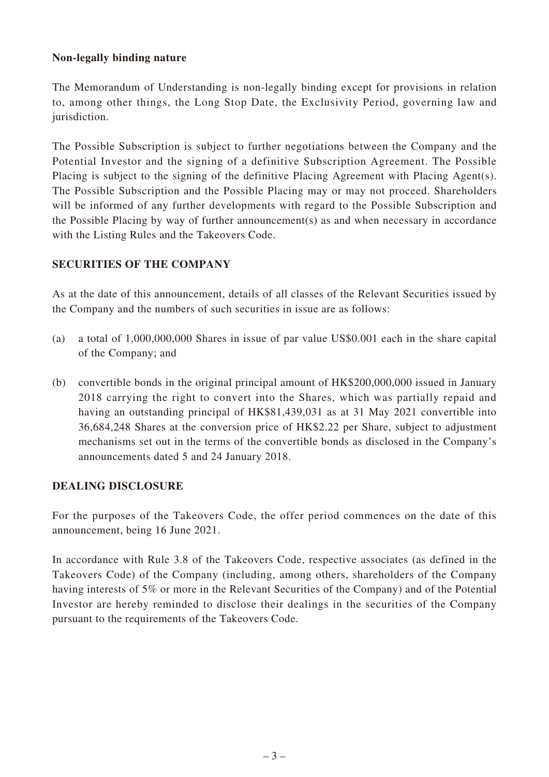### **Non-legally binding nature**

The Memorandum of Understanding is non-legally binding except for provisions in relation to, among other things, the Long Stop Date, the Exclusivity Period, governing law and jurisdiction.

The Possible Subscription is subject to further negotiations between the Company and the Potential Investor and the signing of a definitive Subscription Agreement. The Possible Placing is subject to the signing of the definitive Placing Agreement with Placing Agent(s). The Possible Subscription and the Possible Placing may or may not proceed. Shareholders will be informed of any further developments with regard to the Possible Subscription and the Possible Placing by way of further announcement(s) as and when necessary in accordance with the Listing Rules and the Takeovers Code.

## **SECURITIES OF THE COMPANY**

As at the date of this announcement, details of all classes of the Relevant Securities issued by the Company and the numbers of such securities in issue are as follows:

- (a) a total of 1,000,000,000 Shares in issue of par value US\$0.001 each in the share capital of the Company; and
- (b) convertible bonds in the original principal amount of HK\$200,000,000 issued in January 2018 carrying the right to convert into the Shares, which was partially repaid and having an outstanding principal of HK\$81,439,031 as at 31 May 2021 convertible into 36,684,248 Shares at the conversion price of HK\$2.22 per Share, subject to adjustment mechanisms set out in the terms of the convertible bonds as disclosed in the Company's announcements dated 5 and 24 January 2018.

### **DEALING DISCLOSURE**

For the purposes of the Takeovers Code, the offer period commences on the date of this announcement, being 16 June 2021.

In accordance with Rule 3.8 of the Takeovers Code, respective associates (as defined in the Takeovers Code) of the Company (including, among others, shareholders of the Company having interests of 5% or more in the Relevant Securities of the Company) and of the Potential Investor are hereby reminded to disclose their dealings in the securities of the Company pursuant to the requirements of the Takeovers Code.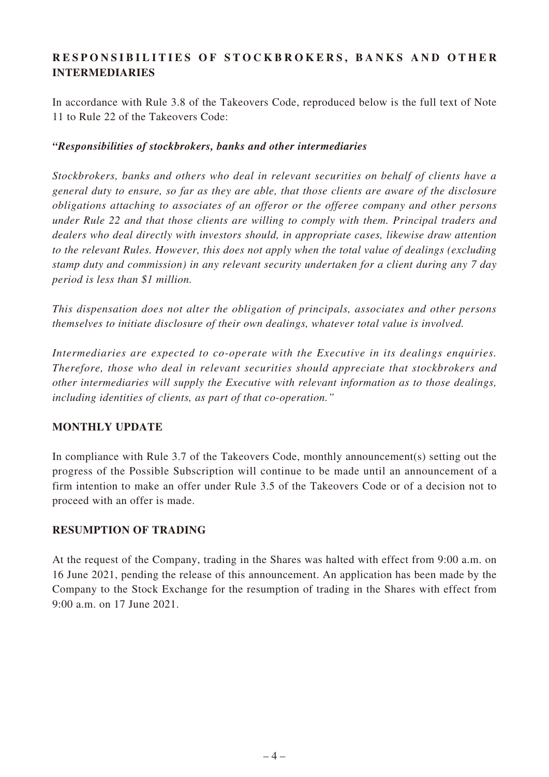# RESPONSIBILITIES OF STOCKBROKERS, BANKS AND OTHER **INTERMEDIARIES**

In accordance with Rule 3.8 of the Takeovers Code, reproduced below is the full text of Note 11 to Rule 22 of the Takeovers Code:

## *"Responsibilities of stockbrokers, banks and other intermediaries*

*Stockbrokers, banks and others who deal in relevant securities on behalf of clients have a general duty to ensure, so far as they are able, that those clients are aware of the disclosure obligations attaching to associates of an offeror or the offeree company and other persons under Rule 22 and that those clients are willing to comply with them. Principal traders and dealers who deal directly with investors should, in appropriate cases, likewise draw attention to the relevant Rules. However, this does not apply when the total value of dealings (excluding stamp duty and commission) in any relevant security undertaken for a client during any 7 day period is less than \$1 million.*

*This dispensation does not alter the obligation of principals, associates and other persons themselves to initiate disclosure of their own dealings, whatever total value is involved.*

*Intermediaries are expected to co-operate with the Executive in its dealings enquiries. Therefore, those who deal in relevant securities should appreciate that stockbrokers and other intermediaries will supply the Executive with relevant information as to those dealings, including identities of clients, as part of that co-operation."*

### **MONTHLY UPDATE**

In compliance with Rule 3.7 of the Takeovers Code, monthly announcement(s) setting out the progress of the Possible Subscription will continue to be made until an announcement of a firm intention to make an offer under Rule 3.5 of the Takeovers Code or of a decision not to proceed with an offer is made.

## **RESUMPTION OF TRADING**

At the request of the Company, trading in the Shares was halted with effect from 9:00 a.m. on 16 June 2021, pending the release of this announcement. An application has been made by the Company to the Stock Exchange for the resumption of trading in the Shares with effect from 9:00 a.m. on 17 June 2021.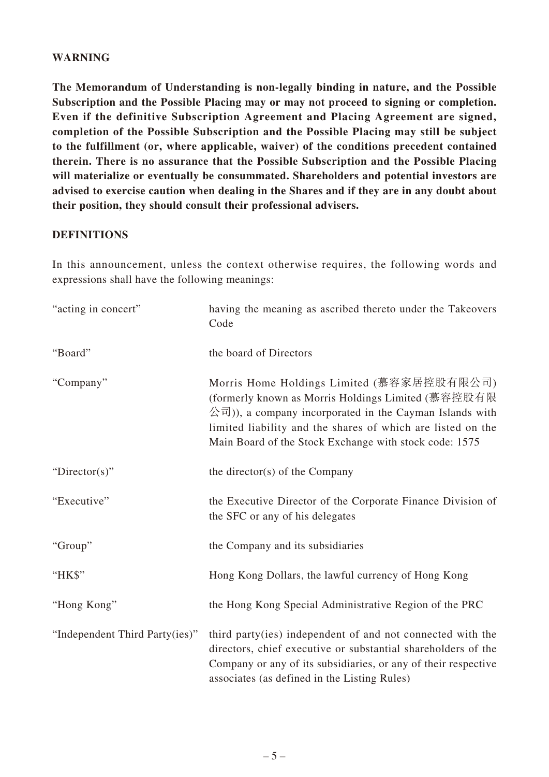#### **WARNING**

**The Memorandum of Understanding is non-legally binding in nature, and the Possible Subscription and the Possible Placing may or may not proceed to signing or completion. Even if the definitive Subscription Agreement and Placing Agreement are signed, completion of the Possible Subscription and the Possible Placing may still be subject to the fulfillment (or, where applicable, waiver) of the conditions precedent contained therein. There is no assurance that the Possible Subscription and the Possible Placing will materialize or eventually be consummated. Shareholders and potential investors are advised to exercise caution when dealing in the Shares and if they are in any doubt about their position, they should consult their professional advisers.**

#### **DEFINITIONS**

In this announcement, unless the context otherwise requires, the following words and expressions shall have the following meanings:

| "acting in concert"            | having the meaning as ascribed thereto under the Takeovers<br>Code                                                                                                                                                                                                                                                       |
|--------------------------------|--------------------------------------------------------------------------------------------------------------------------------------------------------------------------------------------------------------------------------------------------------------------------------------------------------------------------|
| "Board"                        | the board of Directors                                                                                                                                                                                                                                                                                                   |
| "Company"                      | Morris Home Holdings Limited (慕容家居控股有限公司)<br>(formerly known as Morris Holdings Limited (慕容控股有限<br>$\langle \hat{\mathcal{E}}^{\dagger}  $ ), a company incorporated in the Cayman Islands with<br>limited liability and the shares of which are listed on the<br>Main Board of the Stock Exchange with stock code: 1575 |
| "Director(s)"                  | the director(s) of the Company                                                                                                                                                                                                                                                                                           |
| "Executive"                    | the Executive Director of the Corporate Finance Division of<br>the SFC or any of his delegates                                                                                                                                                                                                                           |
| "Group"                        | the Company and its subsidiaries                                                                                                                                                                                                                                                                                         |
| "HK\$"                         | Hong Kong Dollars, the lawful currency of Hong Kong                                                                                                                                                                                                                                                                      |
| "Hong Kong"                    | the Hong Kong Special Administrative Region of the PRC                                                                                                                                                                                                                                                                   |
| "Independent Third Party(ies)" | third party(ies) independent of and not connected with the<br>directors, chief executive or substantial shareholders of the<br>Company or any of its subsidiaries, or any of their respective<br>associates (as defined in the Listing Rules)                                                                            |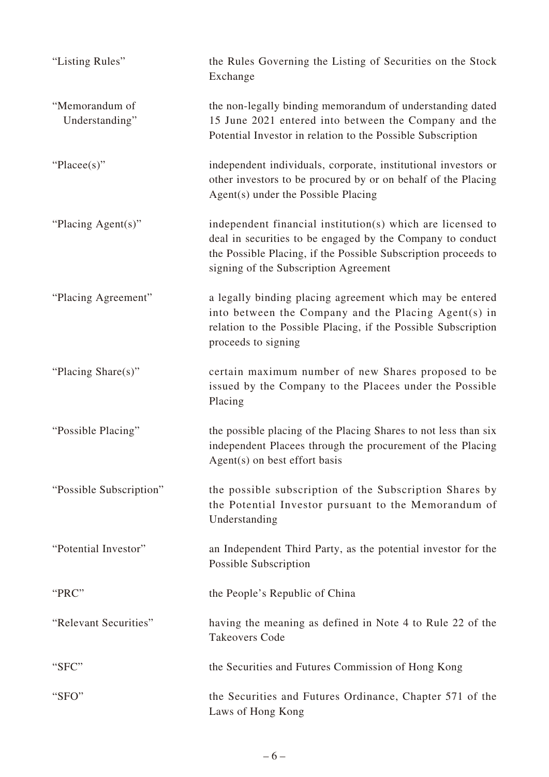| "Listing Rules"                  | the Rules Governing the Listing of Securities on the Stock<br>Exchange                                                                                                                                                              |
|----------------------------------|-------------------------------------------------------------------------------------------------------------------------------------------------------------------------------------------------------------------------------------|
| "Memorandum of<br>Understanding" | the non-legally binding memorandum of understanding dated<br>15 June 2021 entered into between the Company and the<br>Potential Investor in relation to the Possible Subscription                                                   |
| "Placee(s)"                      | independent individuals, corporate, institutional investors or<br>other investors to be procured by or on behalf of the Placing<br>Agent(s) under the Possible Placing                                                              |
| "Placing Agent(s)"               | independent financial institution(s) which are licensed to<br>deal in securities to be engaged by the Company to conduct<br>the Possible Placing, if the Possible Subscription proceeds to<br>signing of the Subscription Agreement |
| "Placing Agreement"              | a legally binding placing agreement which may be entered<br>into between the Company and the Placing Agent(s) in<br>relation to the Possible Placing, if the Possible Subscription<br>proceeds to signing                           |
| "Placing Share(s)"               | certain maximum number of new Shares proposed to be<br>issued by the Company to the Placees under the Possible<br>Placing                                                                                                           |
| "Possible Placing"               | the possible placing of the Placing Shares to not less than six<br>independent Placees through the procurement of the Placing<br>Agent(s) on best effort basis                                                                      |
| "Possible Subscription"          | the possible subscription of the Subscription Shares by<br>the Potential Investor pursuant to the Memorandum of<br>Understanding                                                                                                    |
| "Potential Investor"             | an Independent Third Party, as the potential investor for the<br>Possible Subscription                                                                                                                                              |
| "PRC"                            | the People's Republic of China                                                                                                                                                                                                      |
| "Relevant Securities"            | having the meaning as defined in Note 4 to Rule 22 of the<br><b>Takeovers Code</b>                                                                                                                                                  |
| "SFC"                            | the Securities and Futures Commission of Hong Kong                                                                                                                                                                                  |
| "SFO"                            | the Securities and Futures Ordinance, Chapter 571 of the<br>Laws of Hong Kong                                                                                                                                                       |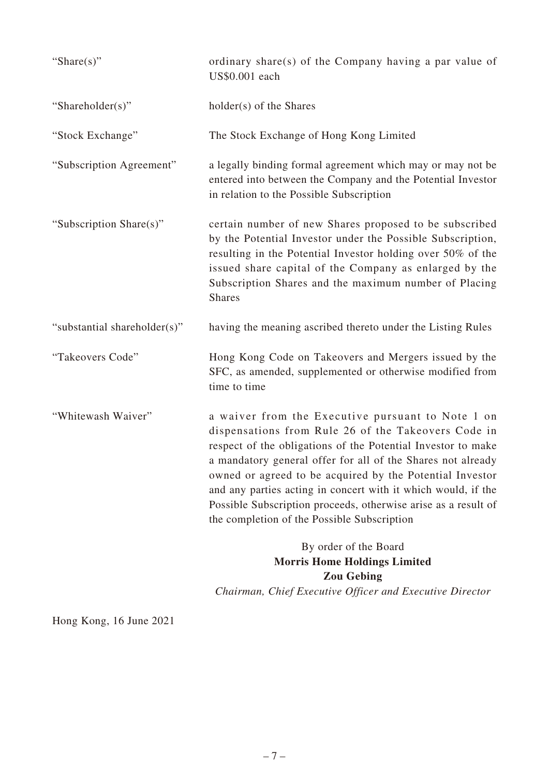| "Share $(s)$ "               | ordinary share(s) of the Company having a par value of<br>US\$0.001 each                                                                                                                                                                                                                                                                                                                                                                                                              |
|------------------------------|---------------------------------------------------------------------------------------------------------------------------------------------------------------------------------------------------------------------------------------------------------------------------------------------------------------------------------------------------------------------------------------------------------------------------------------------------------------------------------------|
| "Shareholder(s)"             | holder(s) of the Shares                                                                                                                                                                                                                                                                                                                                                                                                                                                               |
| "Stock Exchange"             | The Stock Exchange of Hong Kong Limited                                                                                                                                                                                                                                                                                                                                                                                                                                               |
| "Subscription Agreement"     | a legally binding formal agreement which may or may not be<br>entered into between the Company and the Potential Investor<br>in relation to the Possible Subscription                                                                                                                                                                                                                                                                                                                 |
| "Subscription Share(s)"      | certain number of new Shares proposed to be subscribed<br>by the Potential Investor under the Possible Subscription,<br>resulting in the Potential Investor holding over 50% of the<br>issued share capital of the Company as enlarged by the<br>Subscription Shares and the maximum number of Placing<br><b>Shares</b>                                                                                                                                                               |
| "substantial shareholder(s)" | having the meaning ascribed thereto under the Listing Rules                                                                                                                                                                                                                                                                                                                                                                                                                           |
| "Takeovers Code"             | Hong Kong Code on Takeovers and Mergers issued by the<br>SFC, as amended, supplemented or otherwise modified from<br>time to time                                                                                                                                                                                                                                                                                                                                                     |
| "Whitewash Waiver"           | a waiver from the Executive pursuant to Note 1 on<br>dispensations from Rule 26 of the Takeovers Code in<br>respect of the obligations of the Potential Investor to make<br>a mandatory general offer for all of the Shares not already<br>owned or agreed to be acquired by the Potential Investor<br>and any parties acting in concert with it which would, if the<br>Possible Subscription proceeds, otherwise arise as a result of<br>the completion of the Possible Subscription |
|                              | By order of the Board<br><b>Morris Home Holdings Limited</b><br><b>Zou Gebing</b><br>Chairman, Chief Executive Officer and Executive Director                                                                                                                                                                                                                                                                                                                                         |

Hong Kong, 16 June 2021